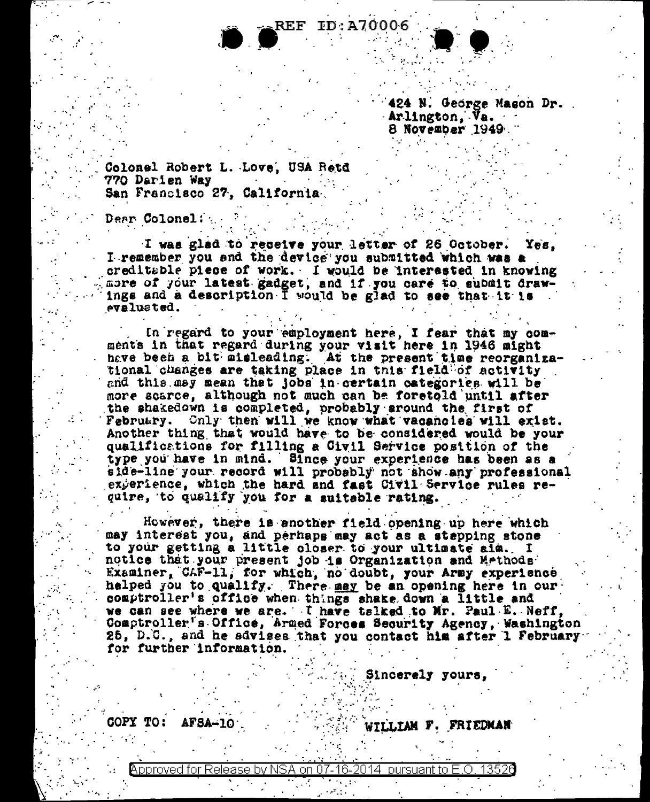**REF ID:A70006** 

124 N. George Mason Dr. Arlington, Va. 8 November 1949.

Colonel Robert L. Love, USA Retd 770 Darien Way San Francisco 27, California.

**Dear Colonel:** 

I was glad to receive your letter of 26 October. Yes. I remember you and the device you submitted which was a creditable piece of work. I would be interested in knowing more of your latest gadget, and if you care to submit draw-<br>ings and a description I would be glad to see that it is evalueted.

In regard to your employment here, I fear that my comments in that regard during your visit here in 1946 might have been a bit misleading. At the present time reorganizational changes are taking place in this field of activity and this may mean that jobs in certain categories will be more scarce, although not much can be foretold until after the shakedown is completed, probably around the first of February. Chly then will we know what vacancies will exist. Another thing that would have to be considered would be your qualifications for filling a Civil Service position of the type you have in mind. Since your experience has been as a side-line your record will probably not show any professional experience, which the hard and fast Civil Service rules require, to qualify you for a suitable rating.

However, there is another field opening up here which may interest you, and perhaps may act as a stepping stone to your getting a little closer to your ultimate aim. I notice that your present job is Organization and Methods Examiner, CAF-11, for which, no doubt, your Army experience halped you to qualify. There may be an opening here in our comptroller's office when things shake down a little and we can see where we are. I have talked to Mr. Paul E. Neff, Comptroller's Office, Armed Forces Security Agency, Washington 25, D.C., and he sdvises that you contact him after 1 February for further information.

Sincerely yours,

**COPY TO:**  $AFSA-10$ 

WILLIAM F. FRIEDMAN

pproved for Release by NSA on 07-16 pursuant to E.O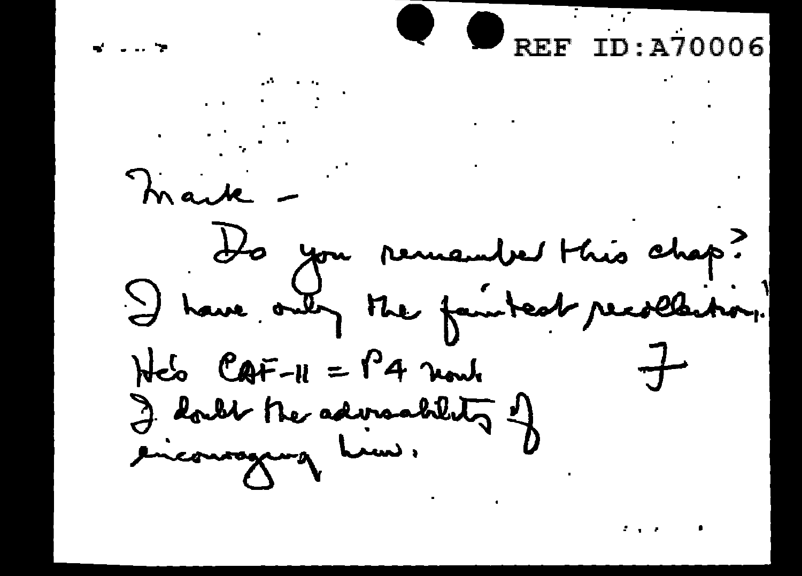

 $\mathcal{L}(\mathcal{L})$  and  $\mathcal{L}(\mathcal{L})$ mark -Ho you remember this chap? I have only the faintest recollection. He's CAF-11 = P4 nowledge of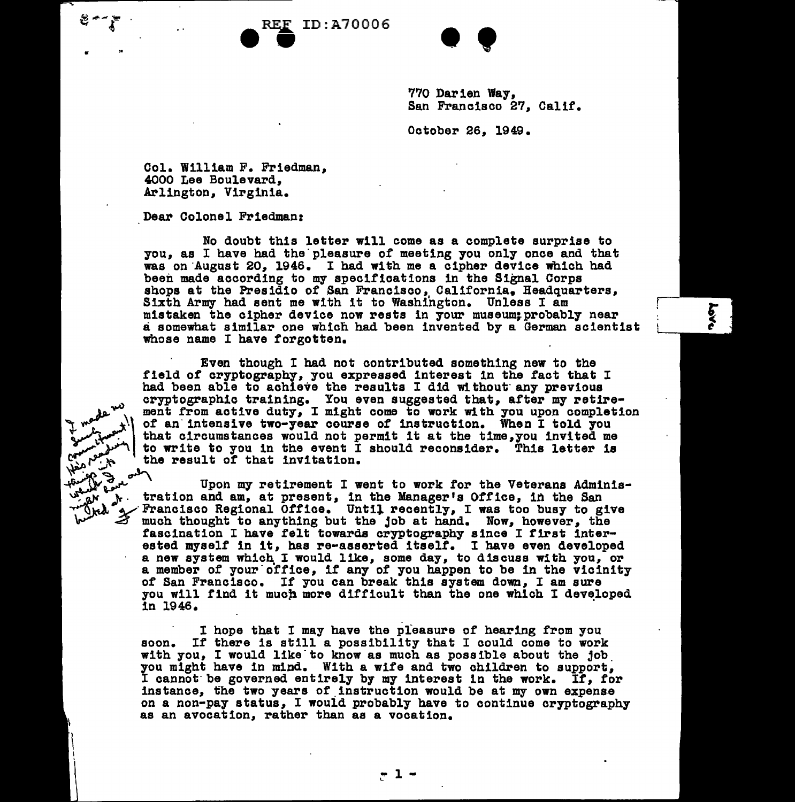PREF ID:A70006



770 Darien Way, San Francisco 27, Calif.

October 26, 1949.

Col. William F. Friedman, 4000 Lee Boulevard, .Arlington, Virginia.

Dear Colonel Friedman:

No doubt this letter will come as a complete surprise to you, as I have had the'pleasure *ot* meeting you only once and that was on August 20, 1946. I had with me a cipher device which had been made according to my specifications in the Signal Corps shops at the Presidio of San Francisco, California. Headquarters, Sixth Army had sent me with it to Washington. Unless I am mistaken the cipher device now rests in your museum; probably near a somewhat similar one which had been invented by a German scientist whose name I have forgotten.

Even though I had not contributed something new to the field of cryptography, you expressed interest in the fact that I had been able to achieve the results I did without any previous cryptographic training. You even suggested that, after my retirement from active duty, I might come to work with you upon completion of an intensive two-year course of instruction. When I told you that circumstances would not permit it at the time, you invited me to write to you in the event I should reconsider. This letter is the result of that invitation.

went of the Upon my retirement I went to work for the Veterans Adminis-<br> *what* is tration and am, at present, in the Manager's Office, in the San which was too busy to give much thought to anything but the job at hand. Now, however, the fascination I have felt towards cryptography since I first interested myself in it, has re-asserted itself. I have even developed a new system which. I would like, some day, to discuss with you, or a member of your office, if any of you happen to be in the vicinity *ot* San Francisco. If you can break this system down, I am sure you will find it much more difficult than the one which I developed in 1946.

> I hope that I may have the pleasure *ot* hearing from you soon. It there is still a possibility that I could come to work with you, I would like to know as much as possible about the job.<br>you might have in mind. With a wife and two children to support, I cannot be governed entirely by my interest in the work. If, for instance, the two years of instruction would be at my own expense on a non-pay status, I would probably have to continue cryptography as an avocation, rather than as a vocation.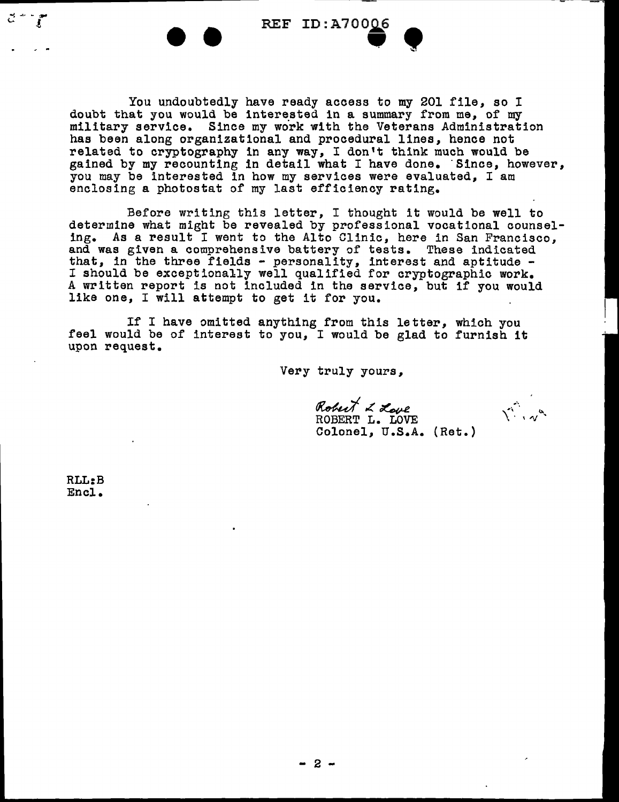REF ID: A70006  $\bullet$ 

You undoubtedly have ready access to my 201 file, so I doubt that you would be interested in a summary from me, of my military service. Since my work with the Veterans Administration has been along organizational and procedural lines, hence not related to cryptography in any way, I don't think much would be gained by my recounting in detail what I have done. Since, however, you may be interested in how my services were evaluated, I am enclosing a photostat of my last efficiency rating.

Before writing this letter, I thought it would be well to determine what might be revealed by professional vocational counseling. As a result I went to the Alto Clinic, here in San Francisco, and was given a comprehensive battery of tests. These indicated that, in the three fields - personality, interest and aptitude - I should be exceptionally well qualified for cryptographic work. A written report is not included in the service, but if you would like one, I will attempt to get it for you.

If I have omitted anything from this letter, which you feel would be of interest to you, I would be glad to furnish it upon request.

Very truly yours,

ROBERT L. LOVE Robert L Love

Colonel, U.S.A. {Ret.)

Village

RLL:B Encl.